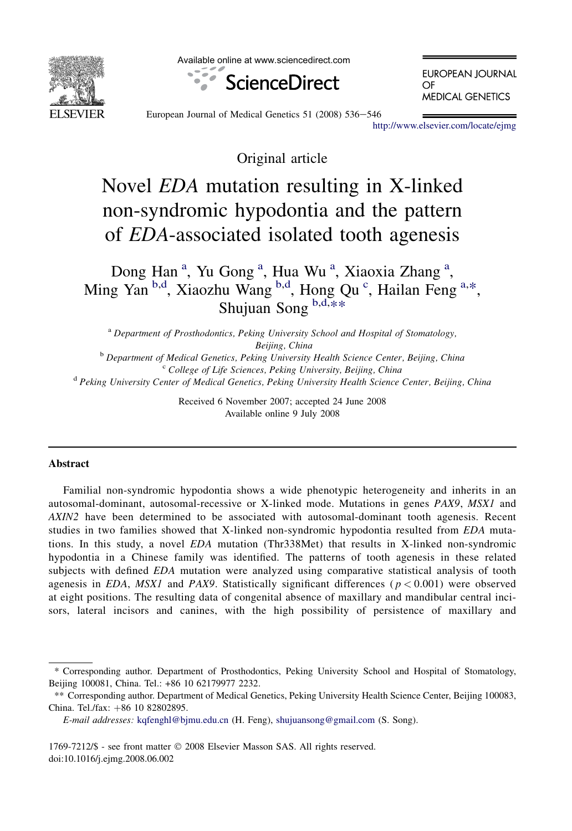

Available online at www.sciencedirect.com



**EUROPEAN JOURNAL**  $\Omega$ <sub>F</sub> **MEDICAL GENETICS** 

European Journal of Medical Genetics 51 (2008) 536-546

<http://www.elsevier.com/locate/ejmg>

Original article

# Novel EDA mutation resulting in X-linked non-syndromic hypodontia and the pattern of EDA-associated isolated tooth agenesis

Dong Han<sup>a</sup>, Yu Gong<sup>a</sup>, Hua Wu<sup>a</sup>, Xiaoxia Zhang<sup>a</sup>, Ming Yan <sup>b,d</sup>, Xiaozhu Wang <sup>b,d</sup>, Hong Qu<sup>c</sup>, Hailan Feng a,\*, Shujuan Song b,d,\*\*

<sup>a</sup> Department of Prosthodontics, Peking University School and Hospital of Stomatology, Beijing, China<br><sup>b</sup> Department of Medical Genetics, Peking University Health Science Center, Beijing, China<br><sup>c</sup> College of Life Sciences, Peking University, Beijing, China<sup><br><sup>d</sup> Peking University Center of Medical Genetics, </sup>

> Received 6 November 2007; accepted 24 June 2008 Available online 9 July 2008

# **Abstract**

Familial non-syndromic hypodontia shows a wide phenotypic heterogeneity and inherits in an autosomal-dominant, autosomal-recessive or X-linked mode. Mutations in genes PAX9, MSX1 and AXIN2 have been determined to be associated with autosomal-dominant tooth agenesis. Recent studies in two families showed that X-linked non-syndromic hypodontia resulted from EDA mutations. In this study, a novel EDA mutation (Thr338Met) that results in X-linked non-syndromic hypodontia in a Chinese family was identified. The patterns of tooth agenesis in these related subjects with defined EDA mutation were analyzed using comparative statistical analysis of tooth agenesis in EDA, MSX1 and PAX9. Statistically significant differences ( $p < 0.001$ ) were observed at eight positions. The resulting data of congenital absence of maxillary and mandibular central incisors, lateral incisors and canines, with the high possibility of persistence of maxillary and

1769-7212/\$ - see front matter © 2008 Elsevier Masson SAS. All rights reserved. doi:10.1016/j.ejmg.2008.06.002

<sup>\*</sup> Corresponding author. Department of Prosthodontics, Peking University School and Hospital of Stomatology, Beijing 100081, China. Tel.: +86 10 62179977 2232.

<sup>\*\*</sup> Corresponding author. Department of Medical Genetics, Peking University Health Science Center, Beijing 100083, China. Tel./fax: +86 10 82802895.

E-mail addresses: [kqfenghl@bjmu.edu.cn](mailto:kqfenghl@bjmu.edu.cn) (H. Feng), [shujuansong@gmail.com](mailto:shujuansong@gmail.com) (S. Song).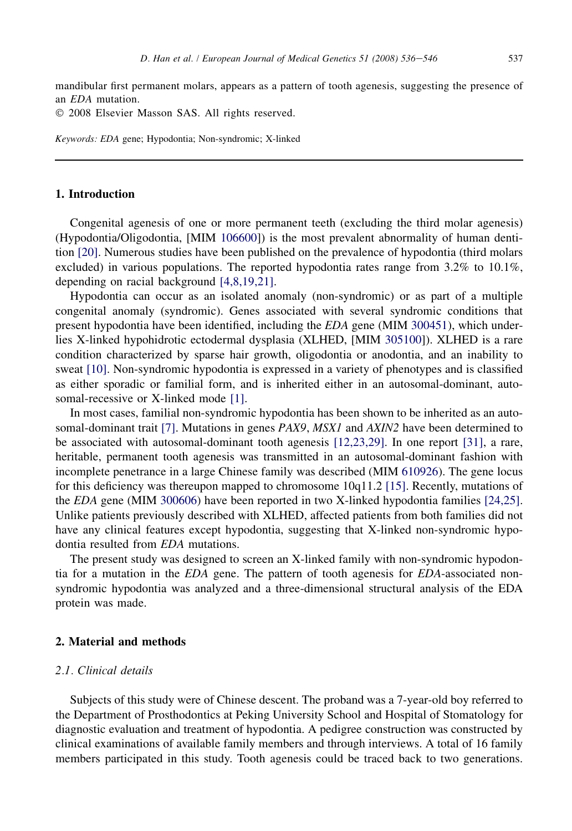mandibular first permanent molars, appears as a pattern of tooth agenesis, suggesting the presence of an EDA mutation.

© 2008 Elsevier Masson SAS. All rights reserved.

Keywords: EDA gene; Hypodontia; Non-syndromic; X-linked

## 1. Introduction

Congenital agenesis of one or more permanent teeth (excluding the third molar agenesis) (Hypodontia/Oligodontia, [MIM [106600](omim:106600)]) is the most prevalent abnormality of human dentition [\[20\]](#page-9-0). Numerous studies have been published on the prevalence of hypodontia (third molars excluded) in various populations. The reported hypodontia rates range from 3.2% to 10.1%, depending on racial background [\[4,8,19,21\].](#page-9-0)

Hypodontia can occur as an isolated anomaly (non-syndromic) or as part of a multiple congenital anomaly (syndromic). Genes associated with several syndromic conditions that present hypodontia have been identified, including the EDA gene (MIM [300451](omim:300451)), which underlies X-linked hypohidrotic ectodermal dysplasia (XLHED, [MIM [305100](omim:305100)]). XLHED is a rare condition characterized by sparse hair growth, oligodontia or anodontia, and an inability to sweat [\[10\]](#page-9-0). Non-syndromic hypodontia is expressed in a variety of phenotypes and is classified as either sporadic or familial form, and is inherited either in an autosomal-dominant, autosomal-recessive or X-linked mode [\[1\]](#page-9-0).

In most cases, familial non-syndromic hypodontia has been shown to be inherited as an auto-somal-dominant trait [\[7\].](#page-9-0) Mutations in genes *PAX9*, *MSX1* and *AXIN2* have been determined to be associated with autosomal-dominant tooth agenesis [\[12,23,29\].](#page-9-0) In one report [\[31\]](#page-10-0), a rare, heritable, permanent tooth agenesis was transmitted in an autosomal-dominant fashion with incomplete penetrance in a large Chinese family was described (MIM [610926\)](omim:610926). The gene locus for this deficiency was thereupon mapped to chromosome 10q11.2 [\[15\]](#page-9-0). Recently, mutations of the EDA gene (MIM [300606](omim:300606)) have been reported in two X-linked hypodontia families [\[24,25\]](#page-9-0). Unlike patients previously described with XLHED, affected patients from both families did not have any clinical features except hypodontia, suggesting that X-linked non-syndromic hypodontia resulted from EDA mutations.

The present study was designed to screen an X-linked family with non-syndromic hypodontia for a mutation in the EDA gene. The pattern of tooth agenesis for EDA-associated nonsyndromic hypodontia was analyzed and a three-dimensional structural analysis of the EDA protein was made.

## 2. Material and methods

## 2.1. Clinical details

Subjects of this study were of Chinese descent. The proband was a 7-year-old boy referred to the Department of Prosthodontics at Peking University School and Hospital of Stomatology for diagnostic evaluation and treatment of hypodontia. A pedigree construction was constructed by clinical examinations of available family members and through interviews. A total of 16 family members participated in this study. Tooth agenesis could be traced back to two generations.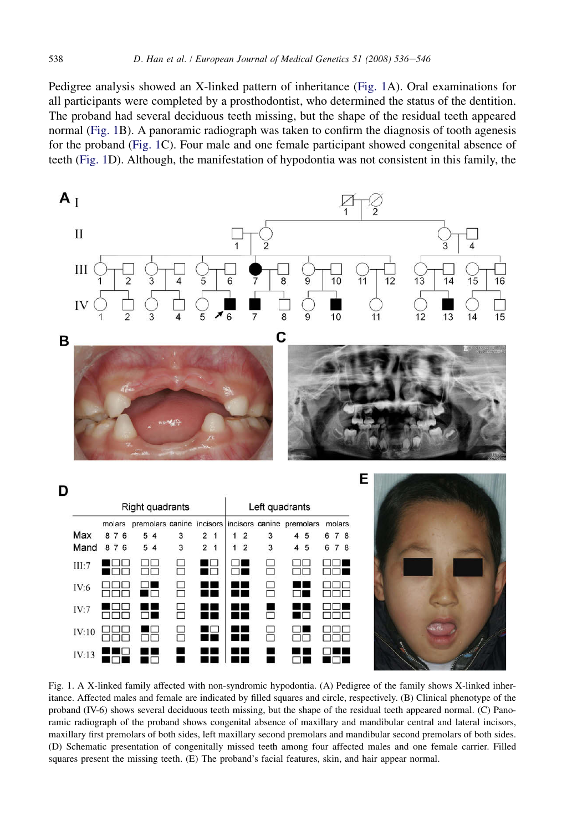<span id="page-2-0"></span>Pedigree analysis showed an X-linked pattern of inheritance (Fig. 1A). Oral examinations for all participants were completed by a prosthodontist, who determined the status of the dentition. The proband had several deciduous teeth missing, but the shape of the residual teeth appeared normal (Fig. 1B). A panoramic radiograph was taken to confirm the diagnosis of tooth agenesis for the proband (Fig. 1C). Four male and one female participant showed congenital absence of teeth (Fig. 1D). Although, the manifestation of hypodontia was not consistent in this family, the



|       |        | Right quadrants                                            |        |                |                |                | Left quadrants |      |       |  |                  |  |
|-------|--------|------------------------------------------------------------|--------|----------------|----------------|----------------|----------------|------|-------|--|------------------|--|
|       | molars | premolars canine incisors incisors canine premolars molars |        |                |                |                |                |      |       |  |                  |  |
| Max   | 876    | 5<br>$\overline{4}$                                        | 3      | $\overline{2}$ |                | $\overline{2}$ | 3              | 4 5  | 6 7 8 |  |                  |  |
| Mand  | 876    | 5 4                                                        | 3      | $\overline{2}$ | $\mathbf{1}$   | $\overline{2}$ | 3              | 4 5  | 6 7 8 |  |                  |  |
| III:7 |        | ┍                                                          |        |                | IO<br>Œ        |                | ┌┐             | ⊣⊺   |       |  |                  |  |
| IV:6  |        | ┍                                                          | □      |                | a m            | . .            |                | - 11 |       |  |                  |  |
| IV:7  |        |                                                            |        |                |                |                |                |      |       |  |                  |  |
| IV:10 |        | ┍                                                          | П<br>┍ |                | $\blacksquare$ | . .            | F              |      |       |  |                  |  |
| IV:13 |        |                                                            |        |                |                |                |                |      |       |  | <b>The State</b> |  |

Fig. 1. A X-linked family affected with non-syndromic hypodontia. (A) Pedigree of the family shows X-linked inheritance. Affected males and female are indicated by filled squares and circle, respectively. (B) Clinical phenotype of the proband (IV-6) shows several deciduous teeth missing, but the shape of the residual teeth appeared normal. (C) Panoramic radiograph of the proband shows congenital absence of maxillary and mandibular central and lateral incisors, maxillary first premolars of both sides, left maxillary second premolars and mandibular second premolars of both sides. (D) Schematic presentation of congenitally missed teeth among four affected males and one female carrier. Filled squares present the missing teeth. (E) The proband's facial features, skin, and hair appear normal.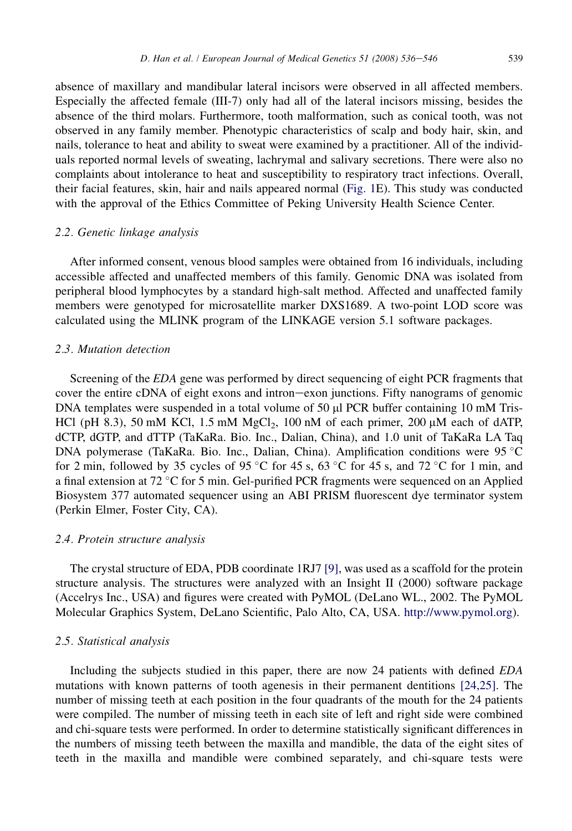absence of maxillary and mandibular lateral incisors were observed in all affected members. Especially the affected female (III-7) only had all of the lateral incisors missing, besides the absence of the third molars. Furthermore, tooth malformation, such as conical tooth, was not observed in any family member. Phenotypic characteristics of scalp and body hair, skin, and nails, tolerance to heat and ability to sweat were examined by a practitioner. All of the individuals reported normal levels of sweating, lachrymal and salivary secretions. There were also no complaints about intolerance to heat and susceptibility to respiratory tract infections. Overall, their facial features, skin, hair and nails appeared normal ([Fig. 1E](#page-2-0)). This study was conducted with the approval of the Ethics Committee of Peking University Health Science Center.

# 2.2. Genetic linkage analysis

After informed consent, venous blood samples were obtained from 16 individuals, including accessible affected and unaffected members of this family. Genomic DNA was isolated from peripheral blood lymphocytes by a standard high-salt method. Affected and unaffected family members were genotyped for microsatellite marker DXS1689. A two-point LOD score was calculated using the MLINK program of the LINKAGE version 5.1 software packages.

## 2.3. Mutation detection

Screening of the EDA gene was performed by direct sequencing of eight PCR fragments that cover the entire cDNA of eight exons and intron-exon junctions. Fifty nanograms of genomic DNA templates were suspended in a total volume of 50  $\mu$ l PCR buffer containing 10 mM Tris-HCl (pH 8.3), 50 mM KCl, 1.5 mM MgCl<sub>2</sub>, 100 nM of each primer, 200  $\mu$ M each of dATP, dCTP, dGTP, and dTTP (TaKaRa. Bio. Inc., Dalian, China), and 1.0 unit of TaKaRa LA Taq DNA polymerase (TaKaRa. Bio. Inc., Dalian, China). Amplification conditions were 95 °C for 2 min, followed by 35 cycles of 95 °C for 45 s, 63 °C for 45 s, and 72 °C for 1 min, and a final extension at 72 °C for 5 min. Gel-purified PCR fragments were sequenced on an Applied Biosystem 377 automated sequencer using an ABI PRISM fluorescent dye terminator system (Perkin Elmer, Foster City, CA).

#### 2.4. Protein structure analysis

The crystal structure of EDA, PDB coordinate 1RJ7 [\[9\]](#page-9-0), was used as a scaffold for the protein structure analysis. The structures were analyzed with an Insight II (2000) software package (Accelrys Inc., USA) and figures were created with PyMOL (DeLano WL., 2002. The PyMOL Molecular Graphics System, DeLano Scientific, Palo Alto, CA, USA. <http://www.pymol.org>).

#### 2.5. Statistical analysis

Including the subjects studied in this paper, there are now 24 patients with defined EDA mutations with known patterns of tooth agenesis in their permanent dentitions [\[24,25\].](#page-9-0) The number of missing teeth at each position in the four quadrants of the mouth for the 24 patients were compiled. The number of missing teeth in each site of left and right side were combined and chi-square tests were performed. In order to determine statistically significant differences in the numbers of missing teeth between the maxilla and mandible, the data of the eight sites of teeth in the maxilla and mandible were combined separately, and chi-square tests were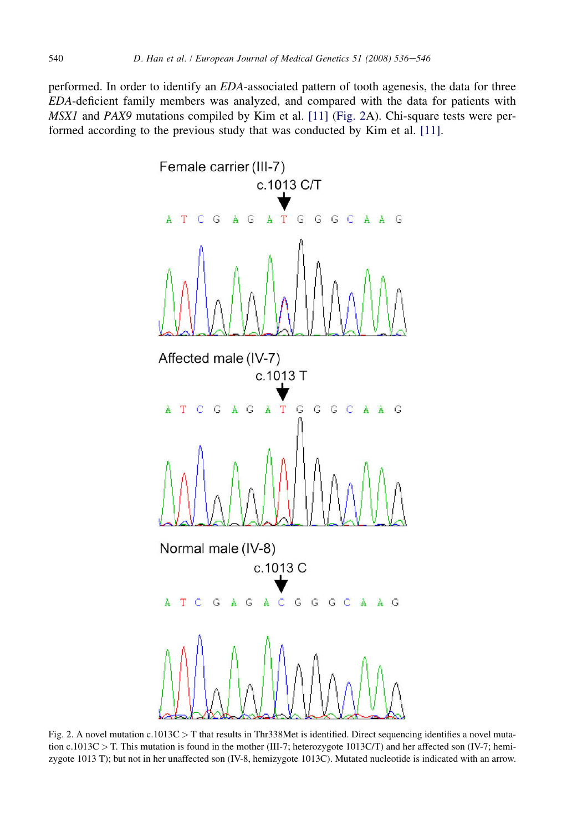<span id="page-4-0"></span>performed. In order to identify an EDA-associated pattern of tooth agenesis, the data for three EDA-deficient family members was analyzed, and compared with the data for patients with MSX1 and PAX9 mutations compiled by Kim et al. [\[11\]](#page-9-0) (Fig. 2A). Chi-square tests were performed according to the previous study that was conducted by Kim et al. [\[11\].](#page-9-0)



Fig. 2. A novel mutation  $c.1013C > T$  that results in Thr338Met is identified. Direct sequencing identifies a novel mutation c.1013C > T. This mutation is found in the mother (III-7; heterozygote 1013C/T) and her affected son (IV-7; hemizygote 1013 T); but not in her unaffected son (IV-8, hemizygote 1013C). Mutated nucleotide is indicated with an arrow.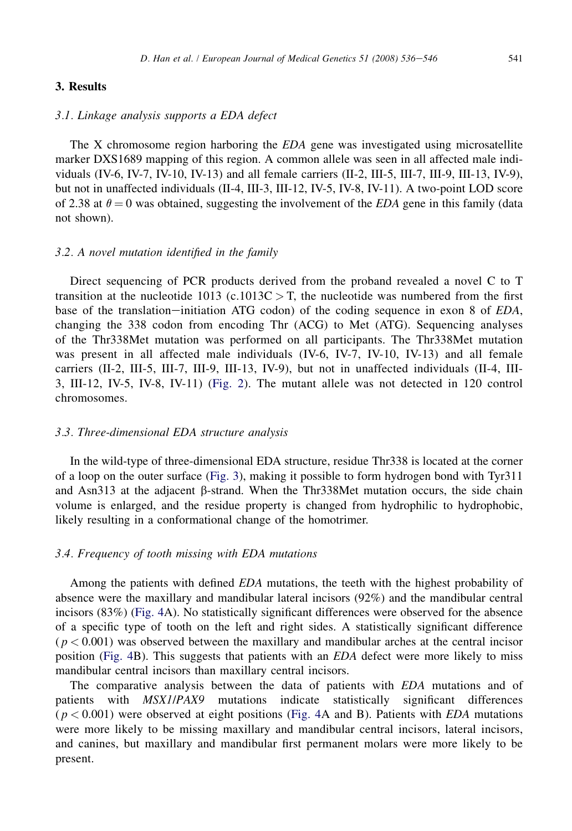## 3. Results

# 3.1. Linkage analysis supports a EDA defect

The X chromosome region harboring the EDA gene was investigated using microsatellite marker DXS1689 mapping of this region. A common allele was seen in all affected male individuals (IV-6, IV-7, IV-10, IV-13) and all female carriers (II-2, III-5, III-7, III-9, III-13, IV-9), but not in unaffected individuals (II-4, III-3, III-12, IV-5, IV-8, IV-11). A two-point LOD score of 2.38 at  $\theta = 0$  was obtained, suggesting the involvement of the *EDA* gene in this family (data not shown).

## 3.2. A novel mutation identified in the family

Direct sequencing of PCR products derived from the proband revealed a novel C to T transition at the nucleotide 1013 (c.1013C  $>$  T, the nucleotide was numbered from the first base of the translation-initiation ATG codon) of the coding sequence in exon 8 of  $EDA$ , changing the 338 codon from encoding Thr (ACG) to Met (ATG). Sequencing analyses of the Thr338Met mutation was performed on all participants. The Thr338Met mutation was present in all affected male individuals (IV-6, IV-7, IV-10, IV-13) and all female carriers (II-2, III-5, III-7, III-9, III-13, IV-9), but not in unaffected individuals (II-4, III-3, III-12, IV-5, IV-8, IV-11) ([Fig. 2\)](#page-4-0). The mutant allele was not detected in 120 control chromosomes.

#### 3.3. Three-dimensional EDA structure analysis

In the wild-type of three-dimensional EDA structure, residue Thr338 is located at the corner of a loop on the outer surface ([Fig. 3\)](#page-6-0), making it possible to form hydrogen bond with Tyr311 and Asn $313$  at the adjacent  $\beta$ -strand. When the Thr $338$ Met mutation occurs, the side chain volume is enlarged, and the residue property is changed from hydrophilic to hydrophobic, likely resulting in a conformational change of the homotrimer.

## 3.4. Frequency of tooth missing with EDA mutations

Among the patients with defined EDA mutations, the teeth with the highest probability of absence were the maxillary and mandibular lateral incisors (92%) and the mandibular central incisors (83%) [\(Fig. 4](#page-7-0)A). No statistically significant differences were observed for the absence of a specific type of tooth on the left and right sides. A statistically significant difference  $(p < 0.001)$  was observed between the maxillary and mandibular arches at the central incisor position ([Fig. 4](#page-7-0)B). This suggests that patients with an EDA defect were more likely to miss mandibular central incisors than maxillary central incisors.

The comparative analysis between the data of patients with EDA mutations and of patients with MSX1/PAX9 mutations indicate statistically significant differences  $(p < 0.001)$  were observed at eight positions [\(Fig. 4A](#page-7-0) and B). Patients with EDA mutations were more likely to be missing maxillary and mandibular central incisors, lateral incisors, and canines, but maxillary and mandibular first permanent molars were more likely to be present.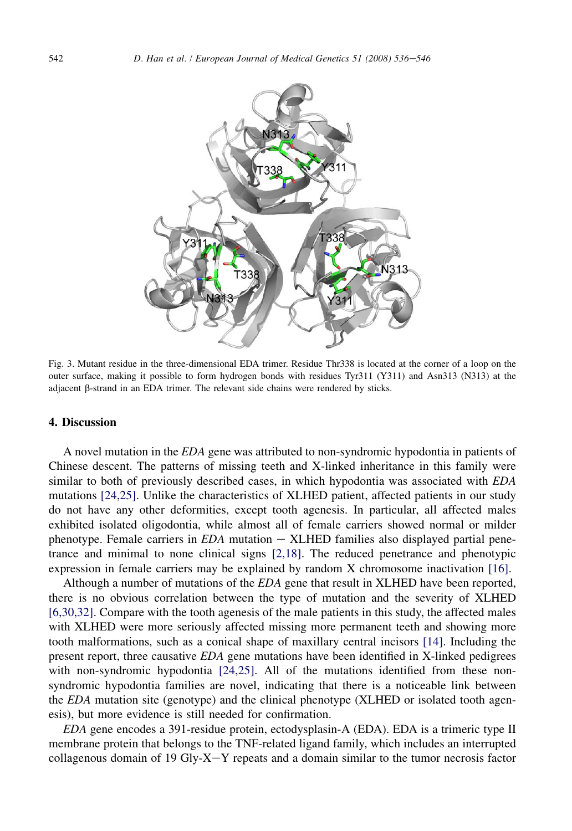<span id="page-6-0"></span>

Fig. 3. Mutant residue in the three-dimensional EDA trimer. Residue Thr338 is located at the corner of a loop on the outer surface, making it possible to form hydrogen bonds with residues Tyr311 (Y311) and Asn313 (N313) at the adjacent  $\beta$ -strand in an EDA trimer. The relevant side chains were rendered by sticks.

## 4. Discussion

A novel mutation in the EDA gene was attributed to non-syndromic hypodontia in patients of Chinese descent. The patterns of missing teeth and X-linked inheritance in this family were similar to both of previously described cases, in which hypodontia was associated with EDA mutations [\[24,25\]](#page-9-0). Unlike the characteristics of XLHED patient, affected patients in our study do not have any other deformities, except tooth agenesis. In particular, all affected males exhibited isolated oligodontia, while almost all of female carriers showed normal or milder phenotype. Female carriers in  $EDA$  mutation  $-$  XLHED families also displayed partial penetrance and minimal to none clinical signs [\[2,18\].](#page-9-0) The reduced penetrance and phenotypic expression in female carriers may be explained by random X chromosome inactivation [\[16\]](#page-9-0).

Although a number of mutations of the EDA gene that result in XLHED have been reported, there is no obvious correlation between the type of mutation and the severity of XLHED [\[6,30,32\]](#page-9-0). Compare with the tooth agenesis of the male patients in this study, the affected males with XLHED were more seriously affected missing more permanent teeth and showing more tooth malformations, such as a conical shape of maxillary central incisors [\[14\].](#page-9-0) Including the present report, three causative EDA gene mutations have been identified in X-linked pedigrees with non-syndromic hypodontia [\[24,25\]](#page-9-0). All of the mutations identified from these nonsyndromic hypodontia families are novel, indicating that there is a noticeable link between the *EDA* mutation site (genotype) and the clinical phenotype (XLHED or isolated tooth agenesis), but more evidence is still needed for confirmation.

EDA gene encodes a 391-residue protein, ectodysplasin-A (EDA). EDA is a trimeric type II membrane protein that belongs to the TNF-related ligand family, which includes an interrupted collagenous domain of 19 Gly-X-Y repeats and a domain similar to the tumor necrosis factor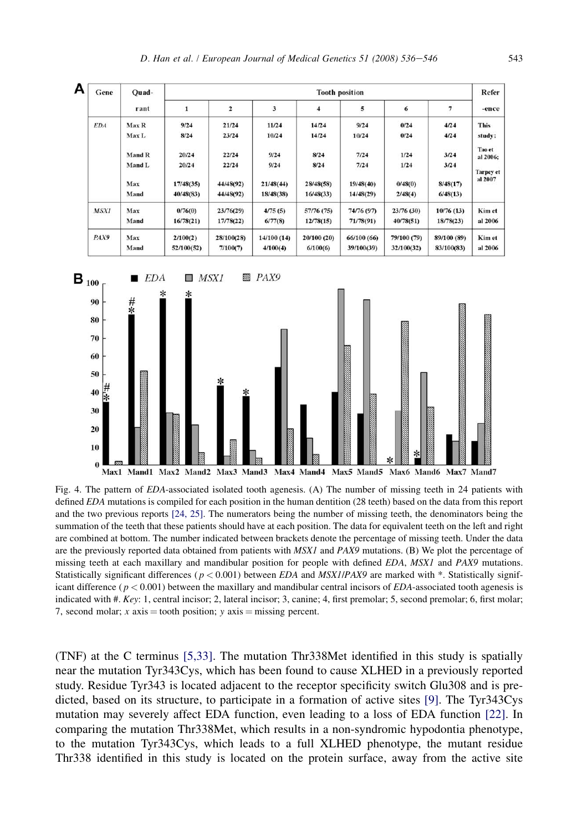<span id="page-7-0"></span>

Fig. 4. The pattern of EDA-associated isolated tooth agenesis. (A) The number of missing teeth in 24 patients with defined EDA mutations is compiled for each position in the human dentition (28 teeth) based on the data from this report and the two previous reports [\[24, 25\]](#page-9-0). The numerators being the number of missing teeth, the denominators being the summation of the teeth that these patients should have at each position. The data for equivalent teeth on the left and right are combined at bottom. The number indicated between brackets denote the percentage of missing teeth. Under the data are the previously reported data obtained from patients with MSX1 and PAX9 mutations. (B) We plot the percentage of missing teeth at each maxillary and mandibular position for people with defined EDA, MSX1 and PAX9 mutations. Statistically significant differences ( $p < 0.001$ ) between *EDA* and *MSX1/PAX9* are marked with  $*$ . Statistically significant difference ( $p < 0.001$ ) between the maxillary and mandibular central incisors of EDA-associated tooth agenesis is indicated with  $#$ . Key: 1, central incisor; 2, lateral incisor; 3, canine; 4, first premolar; 5, second premolar; 6, first molar; 7, second molar; x axis  $=$  tooth position; y axis  $=$  missing percent.

(TNF) at the C terminus [\[5,33\]](#page-9-0). The mutation Thr338Met identified in this study is spatially near the mutation Tyr343Cys, which has been found to cause XLHED in a previously reported study. Residue Tyr343 is located adjacent to the receptor specificity switch Glu308 and is predicted, based on its structure, to participate in a formation of active sites [\[9\].](#page-9-0) The Tyr343Cys mutation may severely affect EDA function, even leading to a loss of EDA function [\[22\].](#page-9-0) In comparing the mutation Thr338Met, which results in a non-syndromic hypodontia phenotype, to the mutation Tyr343Cys, which leads to a full XLHED phenotype, the mutant residue Thr338 identified in this study is located on the protein surface, away from the active site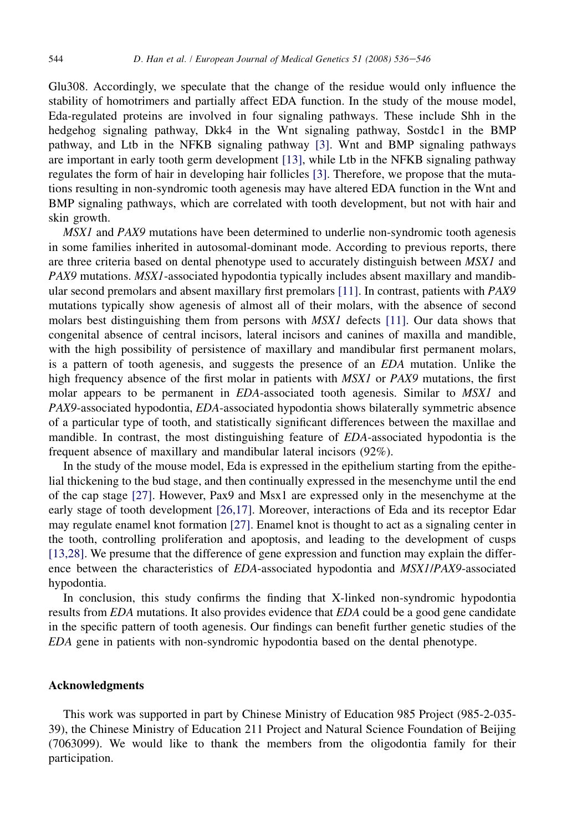Glu308. Accordingly, we speculate that the change of the residue would only influence the stability of homotrimers and partially affect EDA function. In the study of the mouse model, Eda-regulated proteins are involved in four signaling pathways. These include Shh in the hedgehog signaling pathway, Dkk4 in the Wnt signaling pathway, Sostdc1 in the BMP pathway, and Ltb in the NFKB signaling pathway [\[3\].](#page-9-0) Wnt and BMP signaling pathways are important in early tooth germ development [\[13\]](#page-9-0), while Ltb in the NFKB signaling pathway regulates the form of hair in developing hair follicles [\[3\].](#page-9-0) Therefore, we propose that the mutations resulting in non-syndromic tooth agenesis may have altered EDA function in the Wnt and BMP signaling pathways, which are correlated with tooth development, but not with hair and skin growth.

MSX1 and PAX9 mutations have been determined to underlie non-syndromic tooth agenesis in some families inherited in autosomal-dominant mode. According to previous reports, there are three criteria based on dental phenotype used to accurately distinguish between MSX1 and PAX9 mutations. MSX1-associated hypodontia typically includes absent maxillary and mandibular second premolars and absent maxillary first premolars [\[11\]](#page-9-0). In contrast, patients with PAX9 mutations typically show agenesis of almost all of their molars, with the absence of second molars best distinguishing them from persons with MSX1 defects [\[11\]](#page-9-0). Our data shows that congenital absence of central incisors, lateral incisors and canines of maxilla and mandible, with the high possibility of persistence of maxillary and mandibular first permanent molars, is a pattern of tooth agenesis, and suggests the presence of an EDA mutation. Unlike the high frequency absence of the first molar in patients with MSX1 or PAX9 mutations, the first molar appears to be permanent in EDA-associated tooth agenesis. Similar to MSX1 and PAX9-associated hypodontia, EDA-associated hypodontia shows bilaterally symmetric absence of a particular type of tooth, and statistically significant differences between the maxillae and mandible. In contrast, the most distinguishing feature of EDA-associated hypodontia is the frequent absence of maxillary and mandibular lateral incisors (92%).

In the study of the mouse model, Eda is expressed in the epithelium starting from the epithelial thickening to the bud stage, and then continually expressed in the mesenchyme until the end of the cap stage [\[27\]](#page-10-0). However, Pax9 and Msx1 are expressed only in the mesenchyme at the early stage of tooth development [\[26,17\]](#page-10-0). Moreover, interactions of Eda and its receptor Edar may regulate enamel knot formation [\[27\].](#page-10-0) Enamel knot is thought to act as a signaling center in the tooth, controlling proliferation and apoptosis, and leading to the development of cusps [\[13,28\].](#page-9-0) We presume that the difference of gene expression and function may explain the difference between the characteristics of EDA-associated hypodontia and MSX1/PAX9-associated hypodontia.

In conclusion, this study confirms the finding that X-linked non-syndromic hypodontia results from EDA mutations. It also provides evidence that EDA could be a good gene candidate in the specific pattern of tooth agenesis. Our findings can benefit further genetic studies of the EDA gene in patients with non-syndromic hypodontia based on the dental phenotype.

## Acknowledgments

This work was supported in part by Chinese Ministry of Education 985 Project (985-2-035- 39), the Chinese Ministry of Education 211 Project and Natural Science Foundation of Beijing (7063099). We would like to thank the members from the oligodontia family for their participation.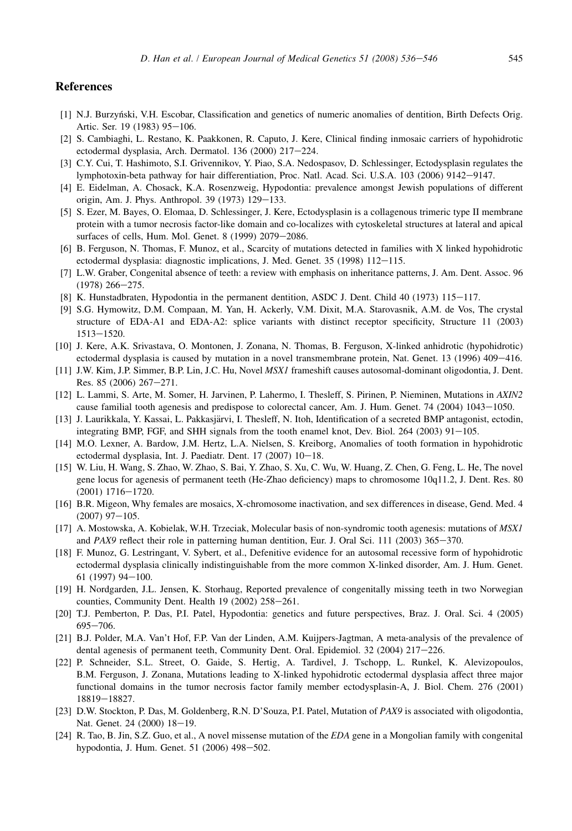#### <span id="page-9-0"></span>**References**

- [1] N.J. Burzyn´ski, V.H. Escobar, Classification and genetics of numeric anomalies of dentition, Birth Defects Orig. Artic. Ser. 19 (1983) 95-106.
- [2] S. Cambiaghi, L. Restano, K. Paakkonen, R. Caputo, J. Kere, Clinical finding inmosaic carriers of hypohidrotic ectodermal dysplasia, Arch. Dermatol. 136 (2000) 217-224.
- [3] C.Y. Cui, T. Hashimoto, S.I. Grivennikov, Y. Piao, S.A. Nedospasov, D. Schlessinger, Ectodysplasin regulates the lymphotoxin-beta pathway for hair differentiation, Proc. Natl. Acad. Sci. U.S.A. 103 (2006) 9142-9147.
- [4] E. Eidelman, A. Chosack, K.A. Rosenzweig, Hypodontia: prevalence amongst Jewish populations of different origin, Am. J. Phys. Anthropol. 39  $(1973)$  129-133.
- [5] S. Ezer, M. Bayes, O. Elomaa, D. Schlessinger, J. Kere, Ectodysplasin is a collagenous trimeric type II membrane protein with a tumor necrosis factor-like domain and co-localizes with cytoskeletal structures at lateral and apical surfaces of cells, Hum. Mol. Genet. 8 (1999) 2079-2086.
- [6] B. Ferguson, N. Thomas, F. Munoz, et al., Scarcity of mutations detected in families with X linked hypohidrotic ectodermal dysplasia: diagnostic implications, J. Med. Genet.  $35$  (1998)  $112-115$ .
- [7] L.W. Graber, Congenital absence of teeth: a review with emphasis on inheritance patterns, J. Am. Dent. Assoc. 96  $(1978)$  266-275.
- [8] K. Hunstadbraten, Hypodontia in the permanent dentition, ASDC J. Dent. Child 40 (1973) 115-117.
- [9] S.G. Hymowitz, D.M. Compaan, M. Yan, H. Ackerly, V.M. Dixit, M.A. Starovasnik, A.M. de Vos, The crystal structure of EDA-A1 and EDA-A2: splice variants with distinct receptor specificity, Structure 11 (2003) 1513-1520.
- [10] J. Kere, A.K. Srivastava, O. Montonen, J. Zonana, N. Thomas, B. Ferguson, X-linked anhidrotic (hypohidrotic) ectodermal dysplasia is caused by mutation in a novel transmembrane protein, Nat. Genet. 13 (1996) 409-416.
- [11] J.W. Kim, J.P. Simmer, B.P. Lin, J.C. Hu, Novel MSX1 frameshift causes autosomal-dominant oligodontia, J. Dent. Res. 85 (2006) 267-271.
- [12] L. Lammi, S. Arte, M. Somer, H. Jarvinen, P. Lahermo, I. Thesleff, S. Pirinen, P. Nieminen, Mutations in AXIN2 cause familial tooth agenesis and predispose to colorectal cancer, Am. J. Hum. Genet.  $74$  (2004)  $1043-1050$ .
- [13] J. Laurikkala, Y. Kassai, L. Pakkasjärvi, I. Thesleff, N. Itoh, Identification of a secreted BMP antagonist, ectodin, integrating BMP, FGF, and SHH signals from the tooth enamel knot, Dev. Biol.  $264$  ( $2003$ )  $91-105$ .
- [14] M.O. Lexner, A. Bardow, J.M. Hertz, L.A. Nielsen, S. Kreiborg, Anomalies of tooth formation in hypohidrotic ectodermal dysplasia, Int. J. Paediatr. Dent. 17 (2007) 10-18.
- [15] W. Liu, H. Wang, S. Zhao, W. Zhao, S. Bai, Y. Zhao, S. Xu, C. Wu, W. Huang, Z. Chen, G. Feng, L. He, The novel gene locus for agenesis of permanent teeth (He-Zhao deficiency) maps to chromosome 10q11.2, J. Dent. Res. 80  $(2001)$  1716-1720.
- [16] B.R. Migeon, Why females are mosaics, X-chromosome inactivation, and sex differences in disease, Gend. Med. 4  $(2007)$  97-105.
- [17] A. Mostowska, A. Kobielak, W.H. Trzeciak, Molecular basis of non-syndromic tooth agenesis: mutations of MSX1 and PAX9 reflect their role in patterning human dentition, Eur. J. Oral Sci. 111 (2003) 365-370.
- [18] F. Munoz, G. Lestringant, V. Sybert, et al., Defenitive evidence for an autosomal recessive form of hypohidrotic ectodermal dysplasia clinically indistinguishable from the more common X-linked disorder, Am. J. Hum. Genet. 61 (1997) 94 $-100$ .
- [19] H. Nordgarden, J.L. Jensen, K. Storhaug, Reported prevalence of congenitally missing teeth in two Norwegian counties, Community Dent. Health  $19$  (2002)  $258-261$ .
- [20] T.J. Pemberton, P. Das, P.I. Patel, Hypodontia: genetics and future perspectives, Braz. J. Oral. Sci. 4 (2005) 695-706.
- [21] B.J. Polder, M.A. Van't Hof, F.P. Van der Linden, A.M. Kuijpers-Jagtman, A meta-analysis of the prevalence of dental agenesis of permanent teeth, Community Dent. Oral. Epidemiol.  $32$  (2004)  $217-226$ .
- [22] P. Schneider, S.L. Street, O. Gaide, S. Hertig, A. Tardivel, J. Tschopp, L. Runkel, K. Alevizopoulos, B.M. Ferguson, J. Zonana, Mutations leading to X-linked hypohidrotic ectodermal dysplasia affect three major functional domains in the tumor necrosis factor family member ectodysplasin-A, J. Biol. Chem. 276 (2001) 18819-18827.
- [23] D.W. Stockton, P. Das, M. Goldenberg, R.N. D'Souza, P.I. Patel, Mutation of PAX9 is associated with oligodontia, Nat. Genet. 24 (2000) 18-19.
- [24] R. Tao, B. Jin, S.Z. Guo, et al., A novel missense mutation of the EDA gene in a Mongolian family with congenital hypodontia, J. Hum. Genet. 51 (2006) 498-502.